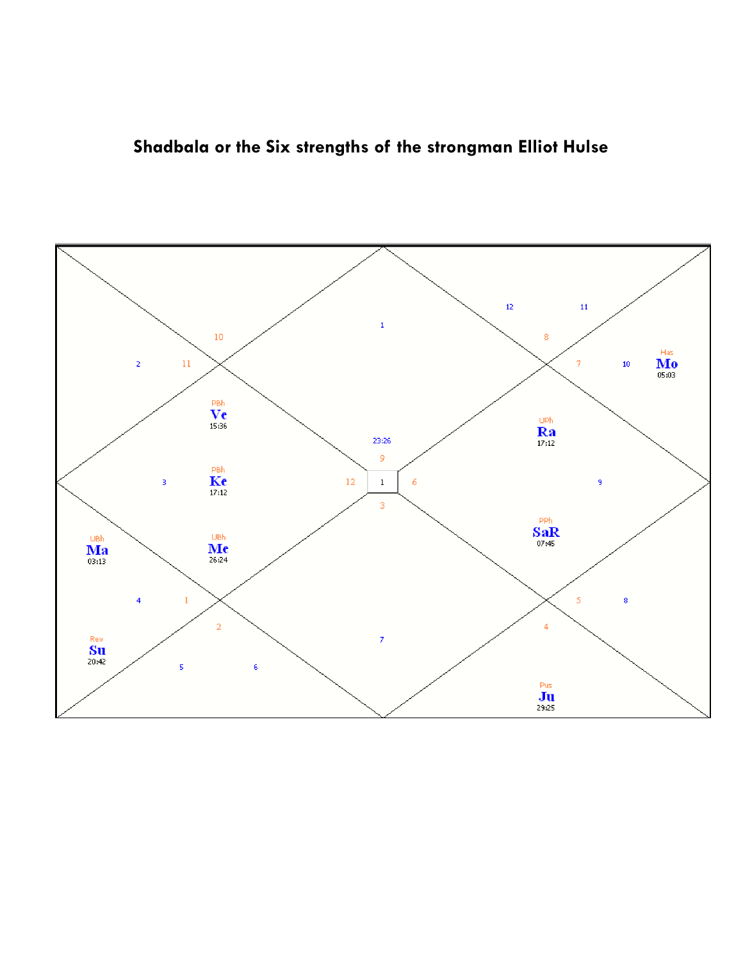

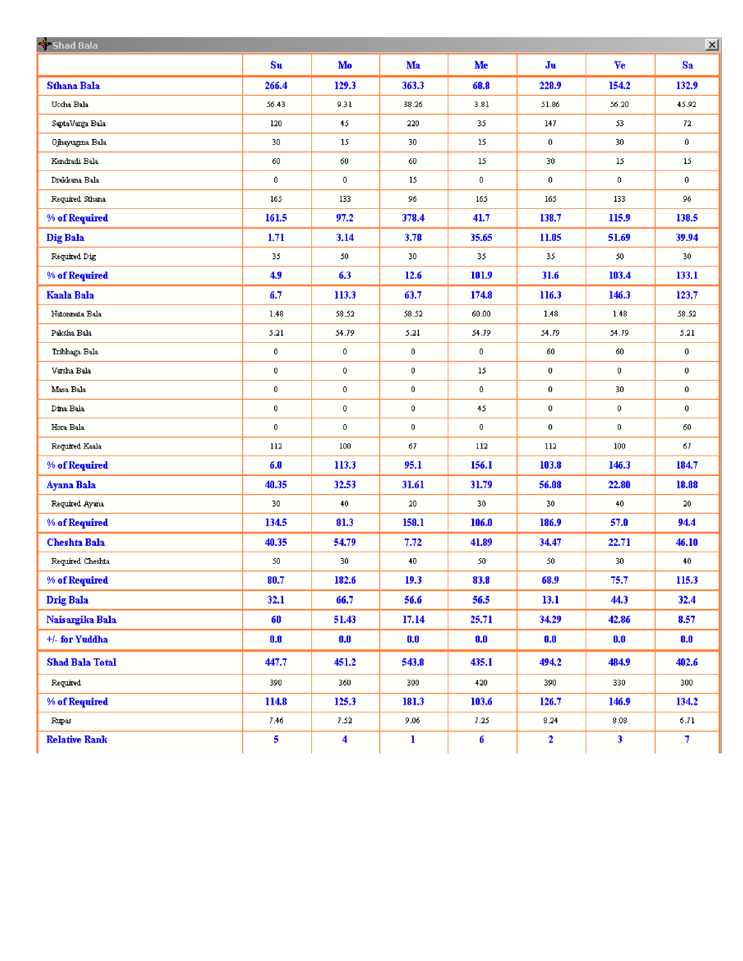| Shad Bala<br>$\mathbf{x}$ |                  |                      |                  |                  |                  |                  |                 |
|---------------------------|------------------|----------------------|------------------|------------------|------------------|------------------|-----------------|
|                           | $S_{\mathbf{u}}$ | Mo                   | Ma               | Me               | Ju               | Ve               | Sa              |
| <b>Sthana Bala</b>        | 266.4            | 129.3                | 363.3            | 68.8             | 228.9            | 154.2            | 132.9           |
| Uccha Bala                | 56.43            | 9.31                 | 38.26            | 3.81             | 51.86            | 56.20            | 45.92           |
| SaptaVarga Bala           | 120              | 45                   | 220              | 35.              | 147              | 53.              | $72-$           |
| Ojhayugma Bala            | 30               | 15                   | 30               | 15               | $\mathbf 0$      | 30               | $\mathbf{0}$    |
| Kendradi Bala             | 60               | $60\,$               | 60               | 15               | 30               | 15               | 15 <sub>1</sub> |
| Drekkana Bala             | $\mathbf 0$      | $\mathbf 0$          | 15               | $\boldsymbol{0}$ | $\bf{0}$         | $\mathbf{0}$     | 0               |
| Required Sthana           | 165              | 133                  | 96.              | 165              | 165              | 133              | 96.             |
| % of Required             | 161.5            | 97.2                 | 378.4            | 41.7             | 138.7            | 115.9            | 138.5           |
| Dig Bala                  | 1.71             | 3.14                 | 3.78             | 35.65            | 11.05            | 51.69            | 39.94           |
| Required Dig              | 35.              | 50                   | 30               | 35               | 35.              | 50               | 30              |
| % of Required             | 4.9              | 6.3                  | 12.6             | 101.9            | 31.6             | 103.4            | 133.1           |
| Kaala Bala                | 6.7              | 113.3                | 63.7             | 174.8            | 116.3            | 146.3            | 123.7           |
| Natormata Bala            | 1.43             | 58.52                | 58.52            | 60.00            | 1.48             | 1.48             | 58.52           |
| Paksha Bala               | 5.21             | 54.79                | 5.21             | 54.79            | 54.79            | 54.79            | 5.21            |
| Tribhaga Bala             | $\mathbf 0$      | $\bf{0}$             | $\bf{0}$         | $\pmb{0}$        | 60               | 60               | 0               |
| Varsha Bala               | $\bf 0$          | $\bf{0}$             | $\boldsymbol{0}$ | 15               | $\bf 0$          | $\mathbf 0$      | $\bf{0}$        |
| Masa Bala                 | $\mathbf 0$      | $\mathbf{0}$         | $\pmb{0}$        | $\boldsymbol{0}$ | $\mathbf 0$      | 30               | $\pmb{0}$       |
| Dina Bala                 | $\bf 0$          | $\bf{0}$             | $\boldsymbol{0}$ | 45               | $\boldsymbol{0}$ | $\boldsymbol{0}$ | $\bf{0}$        |
| Hora Bala                 | $\mathbf 0$      | $\mathbf 0$          | $\mathbf 0$      | $\pmb{0}$        | $\mathbf 0$      | $\mathbf 0$      | 60              |
| Required Kaala            | 112              | 100                  | 67.              | 112              | 112              | 100              | 67              |
| % of Required             | 6.0              | 113.3                | 95.1             | 156.1            | 103.8            | 146.3            | 184.7           |
| Ayana Bala                | 40.35            | 32.53                | 31.61            | 31.79            | 56.08            | 22.80            | 18.88           |
| Required Ayana            | 30               | 40                   | 20 <sub>1</sub>  | 30               | 30               | 40               | 20 <sub>1</sub> |
| % of Required             | 134.5            | 81.3                 | 158.1            | 106.0            | 186.9            | 57.0             | 94.4            |
| <b>Cheshta Bala</b>       | 40.35            | 54.79                | 7.72             | 41.89            | 34.47            | 22.71            | 46.10           |
| Required Cheshta          | 50               | 30                   | 40               | 50               | 50               | 30               | 40 <sub>1</sub> |
| % of Required             | 80.7             | 182.6                | 19.3             | 83.8             | 68.9             | 75.7             | 115.3           |
| Drig Bala                 | 32.1             | 66.7                 | 56.6             | 56.5             | 13.1             | 44.3             | 32.4            |
| Naisargika Bala           | 60               | 51.43                | 17.14            | 25.71            | 34.29            | 42.86            | 8.57            |
| +/- for Yuddha            | 0.0              | 0.0                  | 0.0              | 0.0              | 0.0              | 0.0              | 0.0             |
| <b>Shad Bala Total</b>    | 447.7            | 451.2                | 543.8            | 435.1            | 494.2            | 484.9            | 402.6           |
| Required                  | 390              | 360                  | 300              | 420              | 390              | 330              | 300             |
| $\%$ of Required          | 114.8            | 125.3                | 181.3            | 103.6            | 126.7            | 146.9            | 134.2           |
| Rupas                     | 7.46             | 7.52                 | 9.06             | 7.25             | 8.24             | 8.08             | 6.71            |
| <b>Relative Rank</b>      | 5                | $\blacktriangleleft$ | $\bf{l}$         | 6                | $\overline{2}$   | 3 <sub>1</sub>   | $7^{\circ}$     |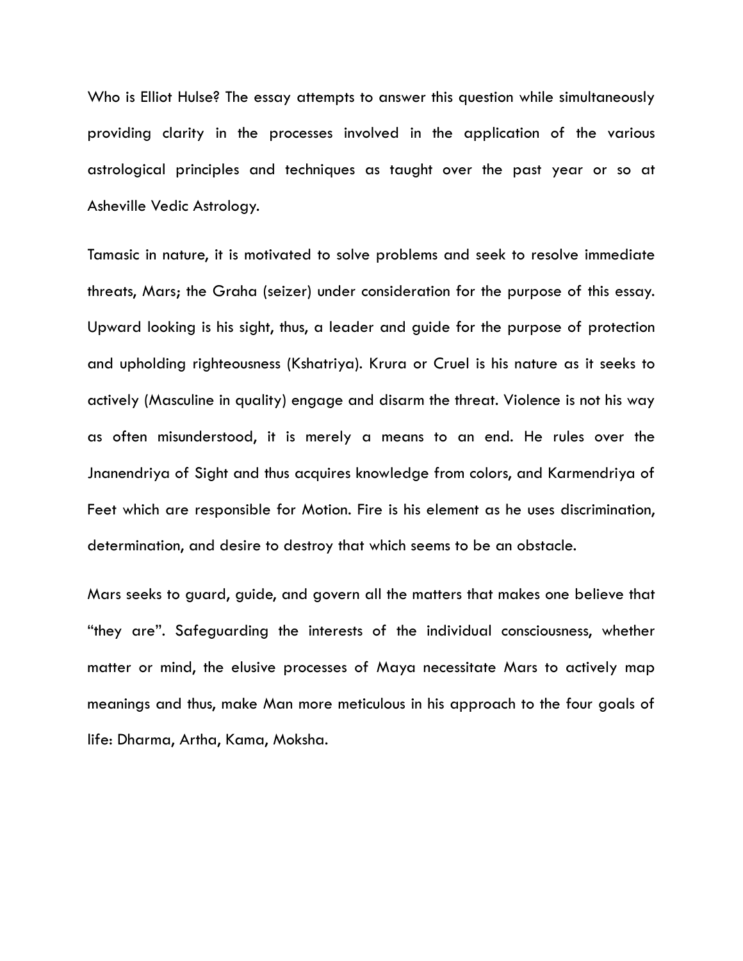Who is Elliot Hulse? The essay attempts to answer this question while simultaneously providing clarity in the processes involved in the application of the various astrological principles and techniques as taught over the past year or so at Asheville Vedic Astrology.

Tamasic in nature, it is motivated to solve problems and seek to resolve immediate threats, Mars; the Graha (seizer) under consideration for the purpose of this essay. Upward looking is his sight, thus, a leader and guide for the purpose of protection and upholding righteousness (Kshatriya). Krura or Cruel is his nature as it seeks to actively (Masculine in quality) engage and disarm the threat. Violence is not his way as often misunderstood, it is merely a means to an end. He rules over the Jnanendriya of Sight and thus acquires knowledge from colors, and Karmendriya of Feet which are responsible for Motion. Fire is his element as he uses discrimination, determination, and desire to destroy that which seems to be an obstacle.

Mars seeks to guard, guide, and govern all the matters that makes one believe that "they are". Safeguarding the interests of the individual consciousness, whether matter or mind, the elusive processes of Maya necessitate Mars to actively map meanings and thus, make Man more meticulous in his approach to the four goals of life: Dharma, Artha, Kama, Moksha.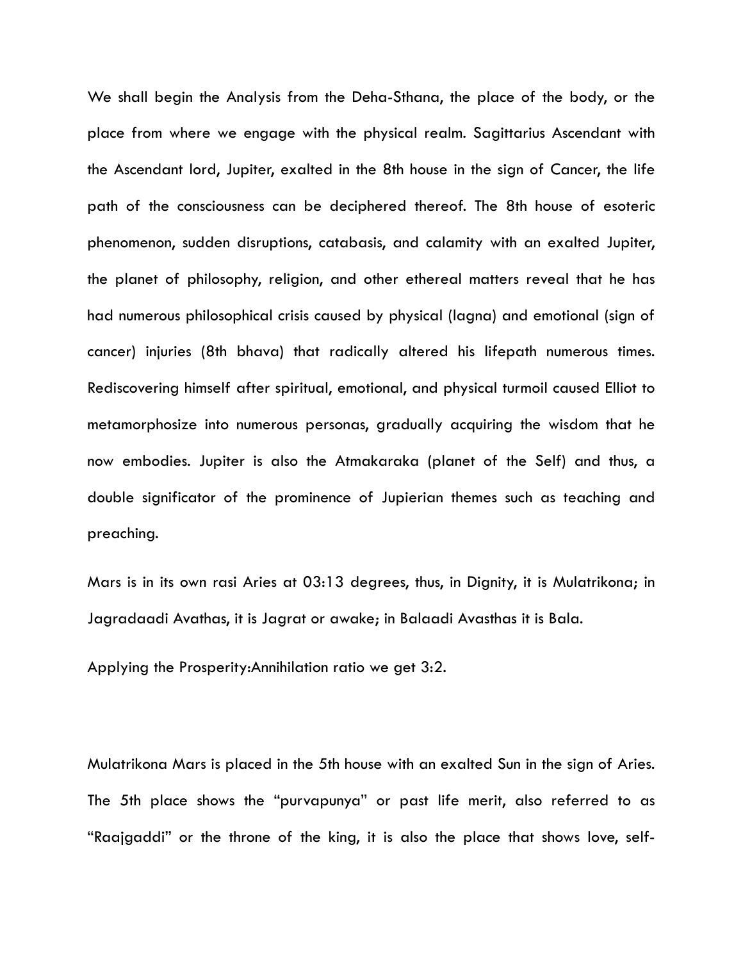We shall begin the Analysis from the Deha-Sthana, the place of the body, or the place from where we engage with the physical realm. Sagittarius Ascendant with the Ascendant lord, Jupiter, exalted in the 8th house in the sign of Cancer, the life path of the consciousness can be deciphered thereof. The 8th house of esoteric phenomenon, sudden disruptions, catabasis, and calamity with an exalted Jupiter, the planet of philosophy, religion, and other ethereal matters reveal that he has had numerous philosophical crisis caused by physical (lagna) and emotional (sign of cancer) injuries (8th bhava) that radically altered his lifepath numerous times. Rediscovering himself after spiritual, emotional, and physical turmoil caused Elliot to metamorphosize into numerous personas, gradually acquiring the wisdom that he now embodies. Jupiter is also the Atmakaraka (planet of the Self) and thus, a double significator of the prominence of Jupierian themes such as teaching and preaching.

Mars is in its own rasi Aries at 03:13 degrees, thus, in Dignity, it is Mulatrikona; in Jagradaadi Avathas, it is Jagrat or awake; in Balaadi Avasthas it is Bala.

Applying the Prosperity:Annihilation ratio we get 3:2.

Mulatrikona Mars is placed in the 5th house with an exalted Sun in the sign of Aries. The 5th place shows the "purvapunya" or past life merit, also referred to as "Raajgaddi" or the throne of the king, it is also the place that shows love, self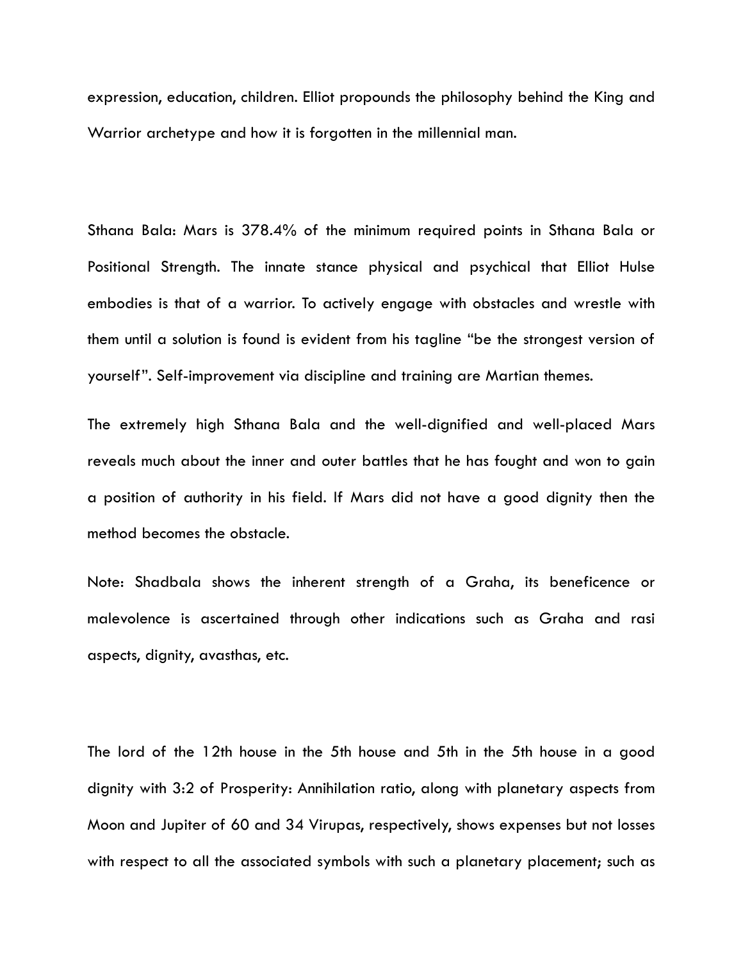expression, education, children. Elliot propounds the philosophy behind the King and Warrior archetype and how it is forgotten in the millennial man.

Sthana Bala: Mars is 378.4% of the minimum required points in Sthana Bala or Positional Strength. The innate stance physical and psychical that Elliot Hulse embodies is that of a warrior. To actively engage with obstacles and wrestle with them until a solution is found is evident from his tagline "be the strongest version of yourself". Self-improvement via discipline and training are Martian themes.

The extremely high Sthana Bala and the well-dignified and well-placed Mars reveals much about the inner and outer battles that he has fought and won to gain a position of authority in his field. If Mars did not have a good dignity then the method becomes the obstacle.

Note: Shadbala shows the inherent strength of a Graha, its beneficence or malevolence is ascertained through other indications such as Graha and rasi aspects, dignity, avasthas, etc.

The lord of the 12th house in the 5th house and 5th in the 5th house in a good dignity with 3:2 of Prosperity: Annihilation ratio, along with planetary aspects from Moon and Jupiter of 60 and 34 Virupas, respectively, shows expenses but not losses with respect to all the associated symbols with such a planetary placement; such as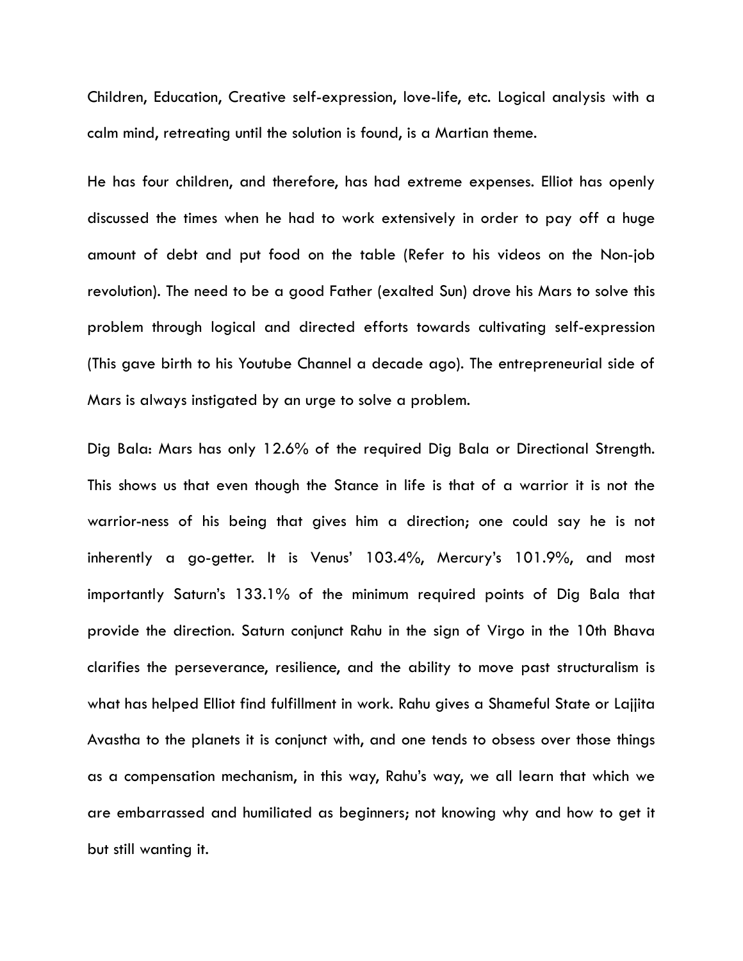Children, Education, Creative self-expression, love-life, etc. Logical analysis with a calm mind, retreating until the solution is found, is a Martian theme.

He has four children, and therefore, has had extreme expenses. Elliot has openly discussed the times when he had to work extensively in order to pay off a huge amount of debt and put food on the table (Refer to his videos on the Non-job revolution). The need to be a good Father (exalted Sun) drove his Mars to solve this problem through logical and directed efforts towards cultivating self-expression (This gave birth to his Youtube Channel a decade ago). The entrepreneurial side of Mars is always instigated by an urge to solve a problem.

Dig Bala: Mars has only 12.6% of the required Dig Bala or Directional Strength. This shows us that even though the Stance in life is that of a warrior it is not the warrior-ness of his being that gives him a direction; one could say he is not inherently a go-getter. It is Venus' 103.4%, Mercury's 101.9%, and most importantly Saturn's 133.1% of the minimum required points of Dig Bala that provide the direction. Saturn conjunct Rahu in the sign of Virgo in the 10th Bhava clarifies the perseverance, resilience, and the ability to move past structuralism is what has helped Elliot find fulfillment in work. Rahu gives a Shameful State or Lajjita Avastha to the planets it is conjunct with, and one tends to obsess over those things as a compensation mechanism, in this way, Rahu's way, we all learn that which we are embarrassed and humiliated as beginners; not knowing why and how to get it but still wanting it.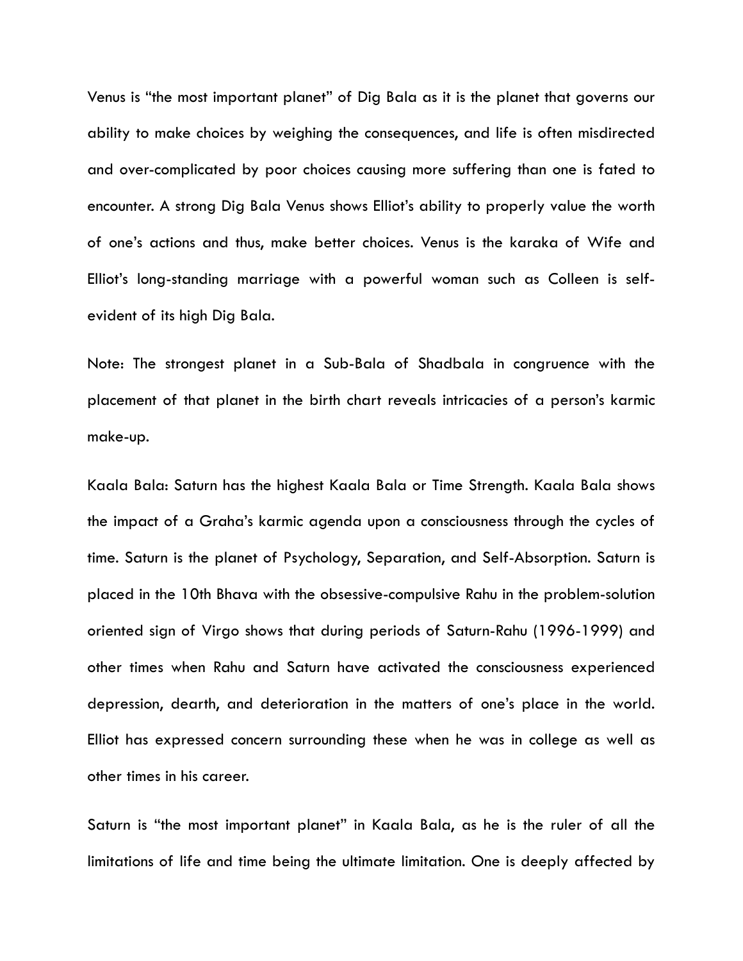Venus is "the most important planet" of Dig Bala as it is the planet that governs our ability to make choices by weighing the consequences, and life is often misdirected and over-complicated by poor choices causing more suffering than one is fated to encounter. A strong Dig Bala Venus shows Elliot's ability to properly value the worth of one's actions and thus, make better choices. Venus is the karaka of Wife and Elliot's long-standing marriage with a powerful woman such as Colleen is selfevident of its high Dig Bala.

Note: The strongest planet in a Sub-Bala of Shadbala in congruence with the placement of that planet in the birth chart reveals intricacies of a person's karmic make-up.

Kaala Bala: Saturn has the highest Kaala Bala or Time Strength. Kaala Bala shows the impact of a Graha's karmic agenda upon a consciousness through the cycles of time. Saturn is the planet of Psychology, Separation, and Self-Absorption. Saturn is placed in the 10th Bhava with the obsessive-compulsive Rahu in the problem-solution oriented sign of Virgo shows that during periods of Saturn-Rahu (1996-1999) and other times when Rahu and Saturn have activated the consciousness experienced depression, dearth, and deterioration in the matters of one's place in the world. Elliot has expressed concern surrounding these when he was in college as well as other times in his career.

Saturn is "the most important planet" in Kaala Bala, as he is the ruler of all the limitations of life and time being the ultimate limitation. One is deeply affected by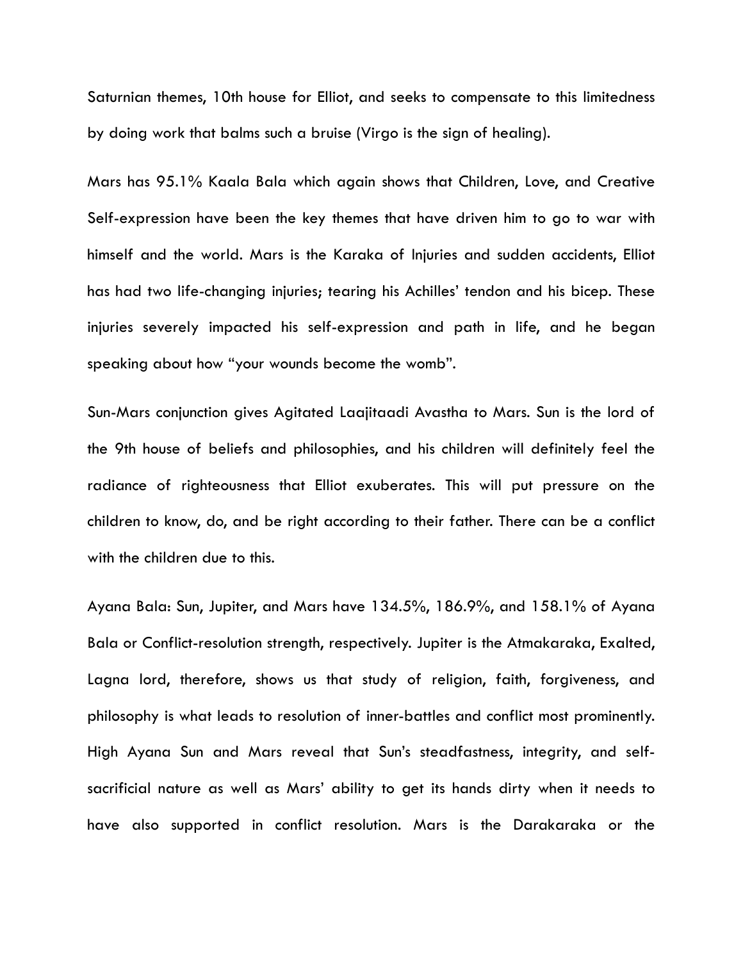Saturnian themes, 10th house for Elliot, and seeks to compensate to this limitedness by doing work that balms such a bruise (Virgo is the sign of healing).

Mars has 95.1% Kaala Bala which again shows that Children, Love, and Creative Self-expression have been the key themes that have driven him to go to war with himself and the world. Mars is the Karaka of Injuries and sudden accidents, Elliot has had two life-changing injuries; tearing his Achilles' tendon and his bicep. These injuries severely impacted his self-expression and path in life, and he began speaking about how "your wounds become the womb".

Sun-Mars conjunction gives Agitated Laajitaadi Avastha to Mars. Sun is the lord of the 9th house of beliefs and philosophies, and his children will definitely feel the radiance of righteousness that Elliot exuberates. This will put pressure on the children to know, do, and be right according to their father. There can be a conflict with the children due to this.

Ayana Bala: Sun, Jupiter, and Mars have 134.5%, 186.9%, and 158.1% of Ayana Bala or Conflict-resolution strength, respectively. Jupiter is the Atmakaraka, Exalted, Lagna lord, therefore, shows us that study of religion, faith, forgiveness, and philosophy is what leads to resolution of inner-battles and conflict most prominently. High Ayana Sun and Mars reveal that Sun's steadfastness, integrity, and selfsacrificial nature as well as Mars' ability to get its hands dirty when it needs to have also supported in conflict resolution. Mars is the Darakaraka or the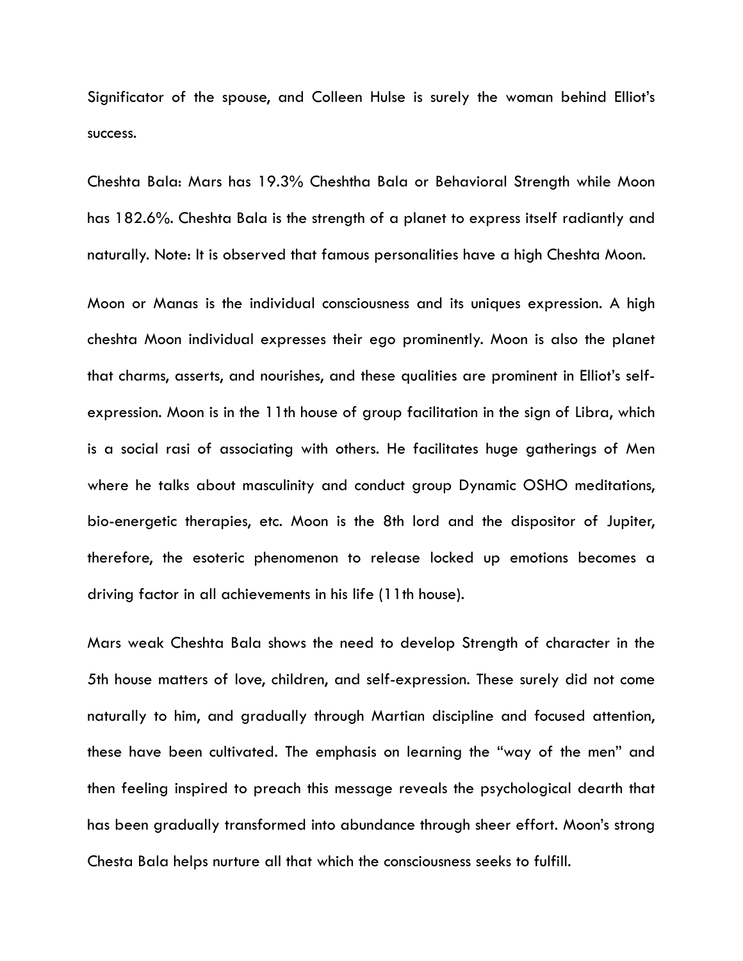Significator of the spouse, and Colleen Hulse is surely the woman behind Elliot's success.

Cheshta Bala: Mars has 19.3% Cheshtha Bala or Behavioral Strength while Moon has 182.6%. Cheshta Bala is the strength of a planet to express itself radiantly and naturally. Note: It is observed that famous personalities have a high Cheshta Moon.

Moon or Manas is the individual consciousness and its uniques expression. A high cheshta Moon individual expresses their ego prominently. Moon is also the planet that charms, asserts, and nourishes, and these qualities are prominent in Elliot's selfexpression. Moon is in the 11th house of group facilitation in the sign of Libra, which is a social rasi of associating with others. He facilitates huge gatherings of Men where he talks about masculinity and conduct group Dynamic OSHO meditations, bio-energetic therapies, etc. Moon is the 8th lord and the dispositor of Jupiter, therefore, the esoteric phenomenon to release locked up emotions becomes a driving factor in all achievements in his life (11th house).

Mars weak Cheshta Bala shows the need to develop Strength of character in the 5th house matters of love, children, and self-expression. These surely did not come naturally to him, and gradually through Martian discipline and focused attention, these have been cultivated. The emphasis on learning the "way of the men" and then feeling inspired to preach this message reveals the psychological dearth that has been gradually transformed into abundance through sheer effort. Moon's strong Chesta Bala helps nurture all that which the consciousness seeks to fulfill.